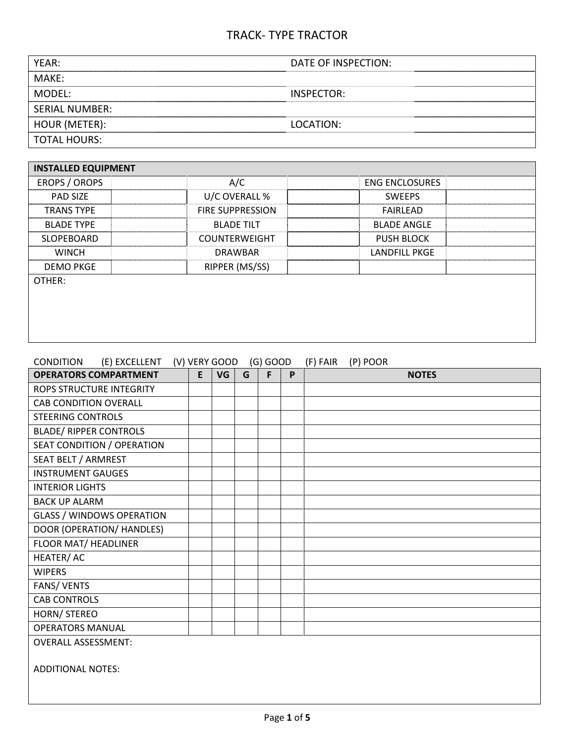| YEAR:            | DATE OF INSPECTION: |
|------------------|---------------------|
| MAKE:            |                     |
| MODEL:           | INSPECTOR:          |
| l SERIAL NUMBER: |                     |
| HOUR (METER):    | LOCATION:           |
| TOTAL HOURS:     |                     |
|                  |                     |

| <b>INSTALLED EQUIPMENT</b> |                         |                       |
|----------------------------|-------------------------|-----------------------|
| EROPS / OROPS              | A/C                     | <b>ENG ENCLOSURES</b> |
| <b>PAD SIZE</b>            | U/C OVERALL %           | <b>SWFFPS</b>         |
| <b>TRANS TYPE</b>          | <b>FIRE SUPPRESSION</b> | FAIRLEAD              |
| <b>BLADE TYPE</b>          | <b>BLADE TILT</b>       | <b>BLADE ANGLE</b>    |
| <b>SLOPEBOARD</b>          | <b>COUNTERWEIGHT</b>    | <b>PUSH BLOCK</b>     |
| <b>WINCH</b>               | <b>DRAWBAR</b>          | <b>LANDFILL PKGE</b>  |
| <b>DEMO PKGE</b>           | RIPPER (MS/SS)          |                       |
| OTHER:                     |                         |                       |
|                            |                         |                       |
|                            |                         |                       |
|                            |                         |                       |

| (E) EXCELLENT (V) VERY GOOD<br>CONDITION |   |           |   | $(G)$ GOOD |   | (F) FAIR<br>(P) POOR |
|------------------------------------------|---|-----------|---|------------|---|----------------------|
| <b>OPERATORS COMPARTMENT</b>             | E | <b>VG</b> | G | F          | P | <b>NOTES</b>         |
| <b>ROPS STRUCTURE INTEGRITY</b>          |   |           |   |            |   |                      |
| <b>CAB CONDITION OVERALL</b>             |   |           |   |            |   |                      |
| <b>STEERING CONTROLS</b>                 |   |           |   |            |   |                      |
| <b>BLADE/ RIPPER CONTROLS</b>            |   |           |   |            |   |                      |
| SEAT CONDITION / OPERATION               |   |           |   |            |   |                      |
| SEAT BELT / ARMREST                      |   |           |   |            |   |                      |
| <b>INSTRUMENT GAUGES</b>                 |   |           |   |            |   |                      |
| <b>INTERIOR LIGHTS</b>                   |   |           |   |            |   |                      |
| <b>BACK UP ALARM</b>                     |   |           |   |            |   |                      |
| <b>GLASS / WINDOWS OPERATION</b>         |   |           |   |            |   |                      |
| DOOR (OPERATION/ HANDLES)                |   |           |   |            |   |                      |
| FLOOR MAT/ HEADLINER                     |   |           |   |            |   |                      |
| HEATER/AC                                |   |           |   |            |   |                      |
| <b>WIPERS</b>                            |   |           |   |            |   |                      |
| FANS/VENTS                               |   |           |   |            |   |                      |
| <b>CAB CONTROLS</b>                      |   |           |   |            |   |                      |
| HORN/ STEREO                             |   |           |   |            |   |                      |
| <b>OPERATORS MANUAL</b>                  |   |           |   |            |   |                      |
| <b>OVERALL ASSESSMENT:</b>               |   |           |   |            |   |                      |
| <b>ADDITIONAL NOTES:</b>                 |   |           |   |            |   |                      |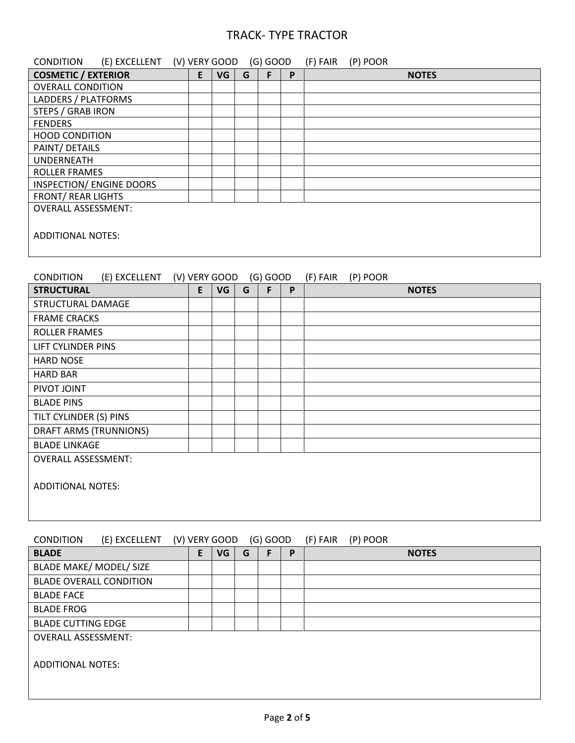| (E) EXCELLENT<br><b>CONDITION</b> | (V) VERY GOOD |   |    |   | $(G)$ GOOD |   | (P) POOR<br>(F) FAIR |
|-----------------------------------|---------------|---|----|---|------------|---|----------------------|
| <b>COSMETIC / EXTERIOR</b>        |               | E | VG | G | F          | P | <b>NOTES</b>         |
| <b>OVERALL CONDITION</b>          |               |   |    |   |            |   |                      |
| LADDERS / PLATFORMS               |               |   |    |   |            |   |                      |
| <b>STEPS / GRAB IRON</b>          |               |   |    |   |            |   |                      |
| <b>FENDERS</b>                    |               |   |    |   |            |   |                      |
| <b>HOOD CONDITION</b>             |               |   |    |   |            |   |                      |
| PAINT/ DETAILS                    |               |   |    |   |            |   |                      |
| <b>UNDERNEATH</b>                 |               |   |    |   |            |   |                      |
| <b>ROLLER FRAMES</b>              |               |   |    |   |            |   |                      |
| INSPECTION/ ENGINE DOORS          |               |   |    |   |            |   |                      |
| <b>FRONT/ REAR LIGHTS</b>         |               |   |    |   |            |   |                      |
| <b>OVERALL ASSESSMENT:</b>        |               |   |    |   |            |   |                      |
| <b>ADDITIONAL NOTES:</b>          |               |   |    |   |            |   |                      |

#### CONDITION (E) EXCELLENT (V) VERY GOOD (G) GOOD (F) FAIR (P) POOR

| <b>STRUCTURAL</b>          | E | VG | G | F | P | <b>NOTES</b> |
|----------------------------|---|----|---|---|---|--------------|
| STRUCTURAL DAMAGE          |   |    |   |   |   |              |
| <b>FRAME CRACKS</b>        |   |    |   |   |   |              |
| <b>ROLLER FRAMES</b>       |   |    |   |   |   |              |
| LIFT CYLINDER PINS         |   |    |   |   |   |              |
| <b>HARD NOSE</b>           |   |    |   |   |   |              |
| <b>HARD BAR</b>            |   |    |   |   |   |              |
| PIVOT JOINT                |   |    |   |   |   |              |
| <b>BLADE PINS</b>          |   |    |   |   |   |              |
| TILT CYLINDER (S) PINS     |   |    |   |   |   |              |
| DRAFT ARMS (TRUNNIONS)     |   |    |   |   |   |              |
| <b>BLADE LINKAGE</b>       |   |    |   |   |   |              |
| <b>OVERALL ASSESSMENT:</b> |   |    |   |   |   |              |
| <b>ADDITIONAL NOTES:</b>   |   |    |   |   |   |              |

#### CONDITION (E) EXCELLENT (V) VERY GOOD (G) GOOD (F) FAIR (P) POOR

| E | VG | G | P | <b>NOTES</b> |
|---|----|---|---|--------------|
|   |    |   |   |              |
|   |    |   |   |              |
|   |    |   |   |              |
|   |    |   |   |              |
|   |    |   |   |              |
|   |    |   |   |              |
|   |    |   |   |              |
|   |    |   |   |              |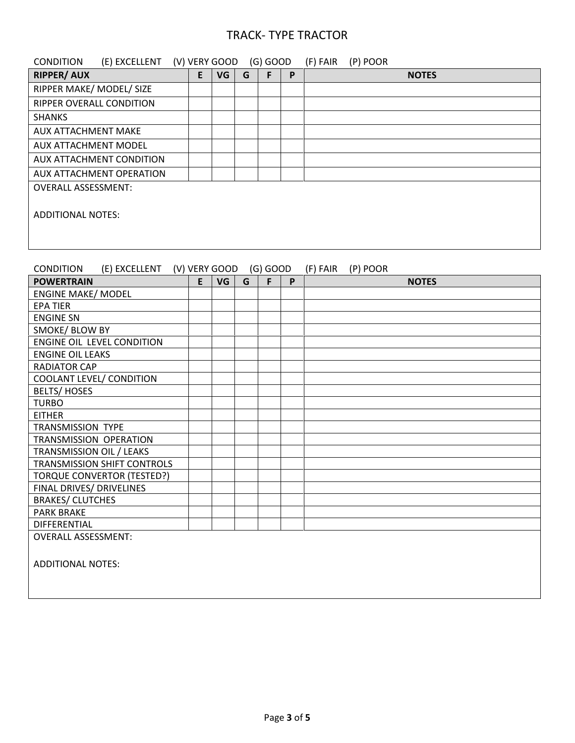| <b>CONDITION</b>            | (E) EXCELLENT            |   | (V) VERY GOOD |   | $(G)$ GOOD |   | (F) FAIR | (P) POOR |              |
|-----------------------------|--------------------------|---|---------------|---|------------|---|----------|----------|--------------|
| <b>RIPPER/ AUX</b>          |                          | E | VG            | G | F          | P |          |          | <b>NOTES</b> |
| RIPPER MAKE/ MODEL/ SIZE    |                          |   |               |   |            |   |          |          |              |
| RIPPER OVERALL CONDITION    |                          |   |               |   |            |   |          |          |              |
| <b>SHANKS</b>               |                          |   |               |   |            |   |          |          |              |
| <b>AUX ATTACHMENT MAKE</b>  |                          |   |               |   |            |   |          |          |              |
| <b>AUX ATTACHMENT MODEL</b> |                          |   |               |   |            |   |          |          |              |
|                             | AUX ATTACHMENT CONDITION |   |               |   |            |   |          |          |              |
|                             | AUX ATTACHMENT OPERATION |   |               |   |            |   |          |          |              |
| <b>OVERALL ASSESSMENT:</b>  |                          |   |               |   |            |   |          |          |              |
|                             |                          |   |               |   |            |   |          |          |              |
| ADDITIONAL NOTES:           |                          |   |               |   |            |   |          |          |              |
|                             |                          |   |               |   |            |   |          |          |              |
|                             |                          |   |               |   |            |   |          |          |              |

## CONDITION (E) EXCELLENT (V) VERY GOOD (G) GOOD (F) FAIR (P) POOR

| <b>POWERTRAIN</b>                 | E | VG | G | F | P | <b>NOTES</b> |
|-----------------------------------|---|----|---|---|---|--------------|
| <b>ENGINE MAKE/ MODEL</b>         |   |    |   |   |   |              |
| <b>EPA TIER</b>                   |   |    |   |   |   |              |
| <b>ENGINE SN</b>                  |   |    |   |   |   |              |
| SMOKE/ BLOW BY                    |   |    |   |   |   |              |
| ENGINE OIL LEVEL CONDITION        |   |    |   |   |   |              |
| <b>ENGINE OIL LEAKS</b>           |   |    |   |   |   |              |
| <b>RADIATOR CAP</b>               |   |    |   |   |   |              |
| COOLANT LEVEL/ CONDITION          |   |    |   |   |   |              |
| <b>BELTS/HOSES</b>                |   |    |   |   |   |              |
| <b>TURBO</b>                      |   |    |   |   |   |              |
| <b>EITHER</b>                     |   |    |   |   |   |              |
| <b>TRANSMISSION TYPE</b>          |   |    |   |   |   |              |
| TRANSMISSION OPERATION            |   |    |   |   |   |              |
| TRANSMISSION OIL / LEAKS          |   |    |   |   |   |              |
| TRANSMISSION SHIFT CONTROLS       |   |    |   |   |   |              |
| <b>TORQUE CONVERTOR (TESTED?)</b> |   |    |   |   |   |              |
| FINAL DRIVES/ DRIVELINES          |   |    |   |   |   |              |
| <b>BRAKES/ CLUTCHES</b>           |   |    |   |   |   |              |
| <b>PARK BRAKE</b>                 |   |    |   |   |   |              |
| <b>DIFFERENTIAL</b>               |   |    |   |   |   |              |
| <b>OVERALL ASSESSMENT:</b>        |   |    |   |   |   |              |
|                                   |   |    |   |   |   |              |
| <b>ADDITIONAL NOTES:</b>          |   |    |   |   |   |              |
|                                   |   |    |   |   |   |              |
|                                   |   |    |   |   |   |              |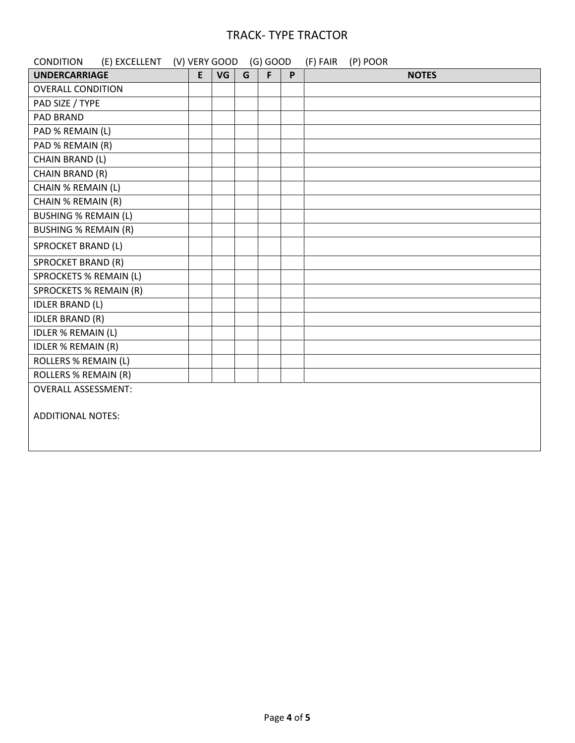| (E) EXCELLENT (V) VERY GOOD<br><b>CONDITION</b> |   |    |   | $(G)$ GOOD |   | (F) FAIR<br>(P) POOR |
|-------------------------------------------------|---|----|---|------------|---|----------------------|
| <b>UNDERCARRIAGE</b>                            | E | VG | G | F          | P | <b>NOTES</b>         |
| <b>OVERALL CONDITION</b>                        |   |    |   |            |   |                      |
| PAD SIZE / TYPE                                 |   |    |   |            |   |                      |
| PAD BRAND                                       |   |    |   |            |   |                      |
| PAD % REMAIN (L)                                |   |    |   |            |   |                      |
| PAD % REMAIN (R)                                |   |    |   |            |   |                      |
| CHAIN BRAND (L)                                 |   |    |   |            |   |                      |
| CHAIN BRAND (R)                                 |   |    |   |            |   |                      |
| CHAIN % REMAIN (L)                              |   |    |   |            |   |                      |
| CHAIN % REMAIN (R)                              |   |    |   |            |   |                      |
| <b>BUSHING % REMAIN (L)</b>                     |   |    |   |            |   |                      |
| <b>BUSHING % REMAIN (R)</b>                     |   |    |   |            |   |                      |
| <b>SPROCKET BRAND (L)</b>                       |   |    |   |            |   |                      |
| <b>SPROCKET BRAND (R)</b>                       |   |    |   |            |   |                      |
| <b>SPROCKETS % REMAIN (L)</b>                   |   |    |   |            |   |                      |
| <b>SPROCKETS % REMAIN (R)</b>                   |   |    |   |            |   |                      |
| <b>IDLER BRAND (L)</b>                          |   |    |   |            |   |                      |
| <b>IDLER BRAND (R)</b>                          |   |    |   |            |   |                      |
| <b>IDLER % REMAIN (L)</b>                       |   |    |   |            |   |                      |
| <b>IDLER % REMAIN (R)</b>                       |   |    |   |            |   |                      |
| <b>ROLLERS % REMAIN (L)</b>                     |   |    |   |            |   |                      |
| <b>ROLLERS % REMAIN (R)</b>                     |   |    |   |            |   |                      |
| <b>OVERALL ASSESSMENT:</b>                      |   |    |   |            |   |                      |
| <b>ADDITIONAL NOTES:</b>                        |   |    |   |            |   |                      |